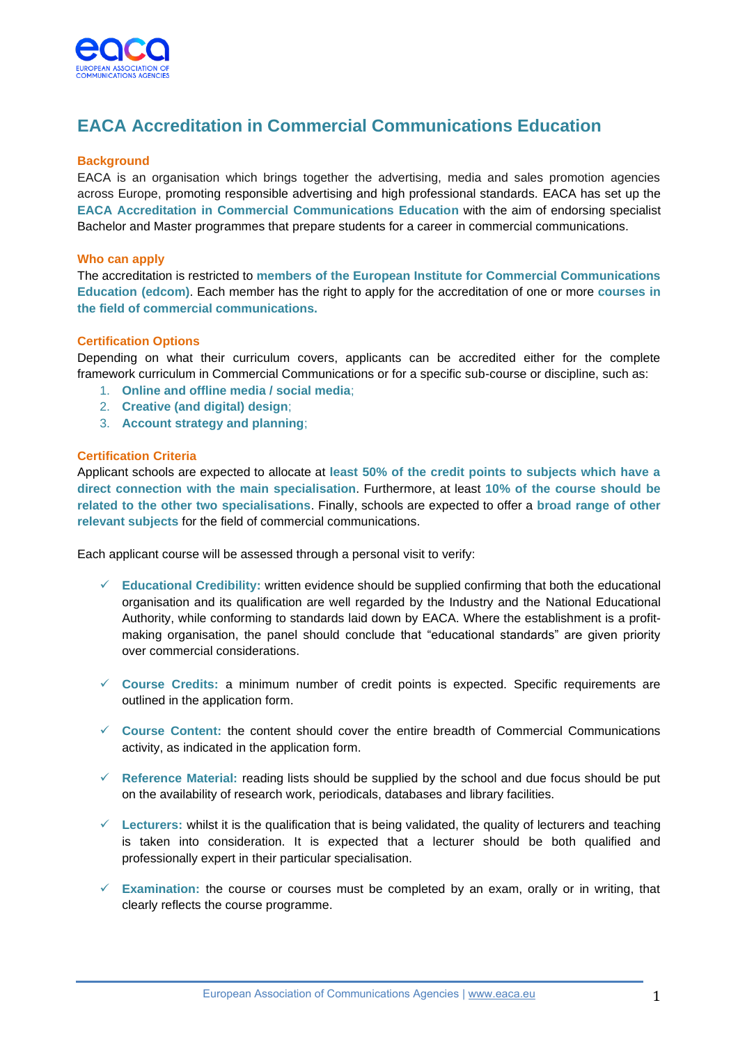

# **EACA Accreditation in Commercial Communications Education**

## **Background**

EACA is an organisation which brings together the advertising, media and sales promotion agencies across Europe, promoting responsible advertising and high professional standards. EACA has set up the **EACA Accreditation in Commercial Communications Education** with the aim of endorsing specialist Bachelor and Master programmes that prepare students for a career in commercial communications.

#### **Who can apply**

The accreditation is restricted to **members of the European Institute for Commercial Communications Education (edcom)**. Each member has the right to apply for the accreditation of one or more **courses in the field of commercial communications.** 

#### **Certification Options**

Depending on what their curriculum covers, applicants can be accredited either for the complete framework curriculum in Commercial Communications or for a specific sub-course or discipline, such as:

- 1. **Online and offline media / social media**;
- 2. **Creative (and digital) design**;
- 3. **Account strategy and planning**;

#### **Certification Criteria**

Applicant schools are expected to allocate at **least 50% of the credit points to subjects which have a direct connection with the main specialisation**. Furthermore, at least **10% of the course should be related to the other two specialisations**. Finally, schools are expected to offer a **broad range of other relevant subjects** for the field of commercial communications.

Each applicant course will be assessed through a personal visit to verify:

- ✓ **Educational Credibility:** written evidence should be supplied confirming that both the educational organisation and its qualification are well regarded by the Industry and the National Educational Authority, while conforming to standards laid down by EACA. Where the establishment is a profitmaking organisation, the panel should conclude that "educational standards" are given priority over commercial considerations.
- ✓ **Course Credits:** a minimum number of credit points is expected. Specific requirements are outlined in the application form.
- ✓ **Course Content:** the content should cover the entire breadth of Commercial Communications activity, as indicated in the application form.
- ✓ **Reference Material:** reading lists should be supplied by the school and due focus should be put on the availability of research work, periodicals, databases and library facilities.
- ✓ **Lecturers:** whilst it is the qualification that is being validated, the quality of lecturers and teaching is taken into consideration. It is expected that a lecturer should be both qualified and professionally expert in their particular specialisation.
- ✓ **Examination:** the course or courses must be completed by an exam, orally or in writing, that clearly reflects the course programme.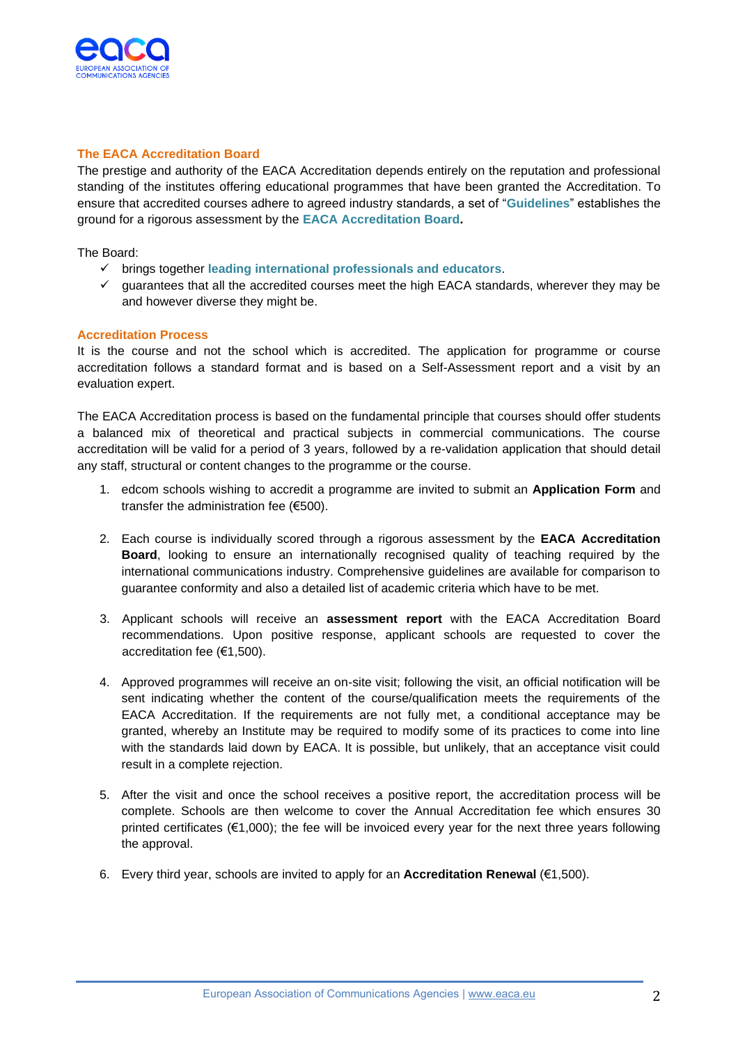

## **The EACA Accreditation Board**

The prestige and authority of the EACA Accreditation depends entirely on the reputation and professional standing of the institutes offering educational programmes that have been granted the Accreditation. To ensure that accredited courses adhere to agreed industry standards, a set of "**Guidelines**" establishes the ground for a rigorous assessment by the **EACA Accreditation Board.** 

The Board:

- ✓ brings together **leading international professionals and educators**.
- $\checkmark$  guarantees that all the accredited courses meet the high EACA standards, wherever they may be and however diverse they might be.

# **Accreditation Process**

It is the course and not the school which is accredited. The application for programme or course accreditation follows a standard format and is based on a Self-Assessment report and a visit by an evaluation expert.

The EACA Accreditation process is based on the fundamental principle that courses should offer students a balanced mix of theoretical and practical subjects in commercial communications. The course accreditation will be valid for a period of 3 years, followed by a re-validation application that should detail any staff, structural or content changes to the programme or the course.

- 1. edcom schools wishing to accredit a programme are invited to submit an **Application Form** and transfer the administration fee (€500).
- 2. Each course is individually scored through a rigorous assessment by the **EACA Accreditation Board**, looking to ensure an internationally recognised quality of teaching required by the international communications industry. Comprehensive guidelines are available for comparison to guarantee conformity and also a detailed list of academic criteria which have to be met.
- 3. Applicant schools will receive an **assessment report** with the EACA Accreditation Board recommendations. Upon positive response, applicant schools are requested to cover the accreditation fee (€1,500).
- 4. Approved programmes will receive an on-site visit; following the visit, an official notification will be sent indicating whether the content of the course/qualification meets the requirements of the EACA Accreditation. If the requirements are not fully met, a conditional acceptance may be granted, whereby an Institute may be required to modify some of its practices to come into line with the standards laid down by EACA. It is possible, but unlikely, that an acceptance visit could result in a complete rejection.
- 5. After the visit and once the school receives a positive report, the accreditation process will be complete. Schools are then welcome to cover the Annual Accreditation fee which ensures 30 printed certificates  $(\epsilon_1, 000)$ ; the fee will be invoiced every year for the next three years following the approval.
- 6. Every third year, schools are invited to apply for an **Accreditation Renewal** (€1,500).